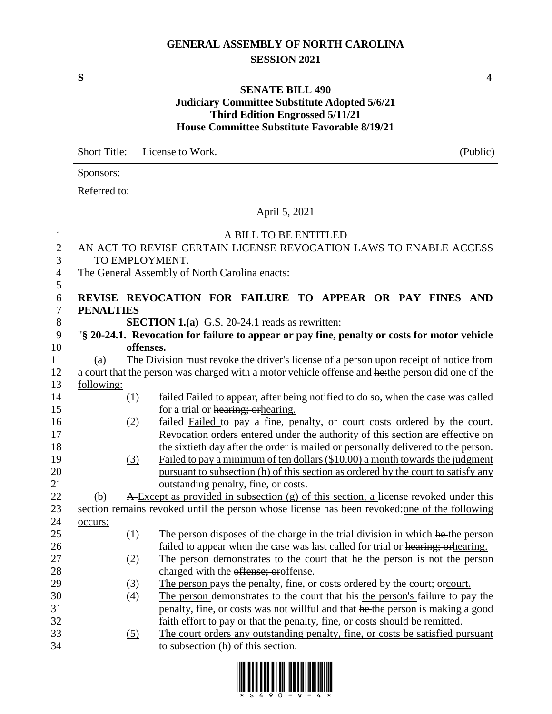## **GENERAL ASSEMBLY OF NORTH CAROLINA SESSION 2021**

## **SENATE BILL 490**

## **Judiciary Committee Substitute Adopted 5/6/21 Third Edition Engrossed 5/11/21 House Committee Substitute Favorable 8/19/21**

Short Title: License to Work. (Public)

Sponsors: Referred to: April 5, 2021 A BILL TO BE ENTITLED AN ACT TO REVISE CERTAIN LICENSE REVOCATION LAWS TO ENABLE ACCESS TO EMPLOYMENT. The General Assembly of North Carolina enacts: 5 **REVISE REVOCATION FOR FAILURE TO APPEAR OR PAY FINES AND PENALTIES SECTION 1.(a)** G.S. 20-24.1 reads as rewritten: "**§ 20-24.1. Revocation for failure to appear or pay fine, penalty or costs for motor vehicle offenses.** (a) The Division must revoke the driver's license of a person upon receipt of notice from 12 a court that the person was charged with a motor vehicle offense and he: the person did one of the following: (1) failed Failed to appear, after being notified to do so, when the case was called 15 for a trial or hearing; or hearing. (2) failed Failed to pay a fine, penalty, or court costs ordered by the court. Revocation orders entered under the authority of this section are effective on the sixtieth day after the order is mailed or personally delivered to the person. (3) Failed to pay a minimum of ten dollars (\$10.00) a month towards the judgment pursuant to subsection (h) of this section as ordered by the court to satisfy any outstanding penalty, fine, or costs. 22 (b) A-Except as provided in subsection (g) of this section, a license revoked under this 23 section remains revoked until the person whose license has been revoked: one of the following 24 occurs: 25 (1) The person disposes of the charge in the trial division in which he the person 26 failed to appear when the case was last called for trial or hearing; orhearing. 27 (2) The person demonstrates to the court that he the person is not the person 28 charged with the offense; oroffense. 29 (3) The person pays the penalty, fine, or costs ordered by the court; or court. (4) The person demonstrates to the court that his the person's failure to pay the penalty, fine, or costs was not willful and that he the person is making a good faith effort to pay or that the penalty, fine, or costs should be remitted. (5) The court orders any outstanding penalty, fine, or costs be satisfied pursuant to subsection (h) of this section.



**S 4**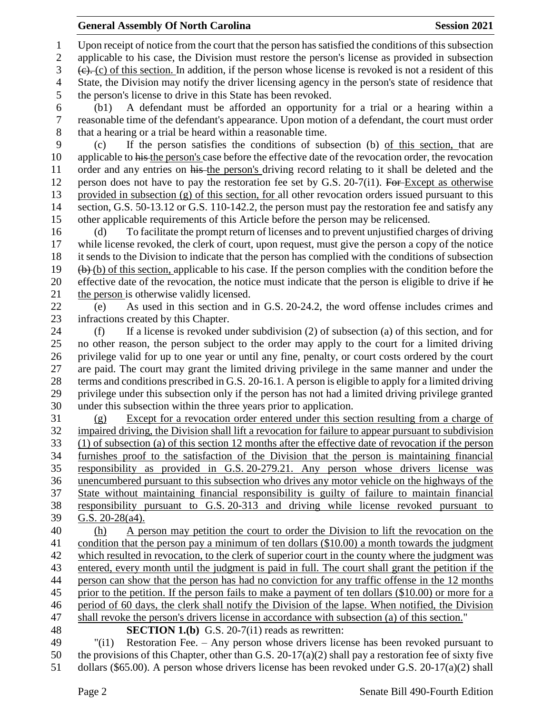Upon receipt of notice from the court that the person has satisfied the conditions of this subsection

 applicable to his case, the Division must restore the person's license as provided in subsection  $3 \quad (e), (c)$  of this section. In addition, if the person whose license is revoked is not a resident of this State, the Division may notify the driver licensing agency in the person's state of residence that the person's license to drive in this State has been revoked.

 (b1) A defendant must be afforded an opportunity for a trial or a hearing within a reasonable time of the defendant's appearance. Upon motion of a defendant, the court must order that a hearing or a trial be heard within a reasonable time.

 (c) If the person satisfies the conditions of subsection (b) of this section, that are 10 applicable to his the person's case before the effective date of the revocation order, the revocation 11 order and any entries on his the person's driving record relating to it shall be deleted and the 12 person does not have to pay the restoration fee set by G.S. 20-7(i1). For Except as otherwise provided in subsection (g) of this section, for all other revocation orders issued pursuant to this 14 section, G.S. 50-13.12 or G.S. 110-142.2, the person must pay the restoration fee and satisfy any other applicable requirements of this Article before the person may be relicensed.

 (d) To facilitate the prompt return of licenses and to prevent unjustified charges of driving while license revoked, the clerk of court, upon request, must give the person a copy of the notice it sends to the Division to indicate that the person has complied with the conditions of subsection (b) of this section, applicable to his case. If the person complies with the condition before the 20 effective date of the revocation, the notice must indicate that the person is eligible to drive if he the person is otherwise validly licensed.

 (e) As used in this section and in G.S. 20-24.2, the word offense includes crimes and infractions created by this Chapter.

 (f) If a license is revoked under subdivision (2) of subsection (a) of this section, and for no other reason, the person subject to the order may apply to the court for a limited driving privilege valid for up to one year or until any fine, penalty, or court costs ordered by the court are paid. The court may grant the limited driving privilege in the same manner and under the terms and conditions prescribed in G.S. 20-16.1. A person is eligible to apply for a limited driving privilege under this subsection only if the person has not had a limited driving privilege granted under this subsection within the three years prior to application.

 (g) Except for a revocation order entered under this section resulting from a charge of impaired driving, the Division shall lift a revocation for failure to appear pursuant to subdivision (1) of subsection (a) of this section 12 months after the effective date of revocation if the person furnishes proof to the satisfaction of the Division that the person is maintaining financial responsibility as provided in G.S. 20-279.21. Any person whose drivers license was unencumbered pursuant to this subsection who drives any motor vehicle on the highways of the State without maintaining financial responsibility is guilty of failure to maintain financial responsibility pursuant to G.S. 20-313 and driving while license revoked pursuant to G.S. 20-28(a4).

 (h) A person may petition the court to order the Division to lift the revocation on the condition that the person pay a minimum of ten dollars (\$10.00) a month towards the judgment which resulted in revocation, to the clerk of superior court in the county where the judgment was entered, every month until the judgment is paid in full. The court shall grant the petition if the person can show that the person has had no conviction for any traffic offense in the 12 months prior to the petition. If the person fails to make a payment of ten dollars (\$10.00) or more for a period of 60 days, the clerk shall notify the Division of the lapse. When notified, the Division shall revoke the person's drivers license in accordance with subsection (a) of this section." **SECTION 1.(b)** G.S. 20-7(i1) reads as rewritten:

 "(i1) Restoration Fee. – Any person whose drivers license has been revoked pursuant to 50 the provisions of this Chapter, other than G.S. 20-17(a)(2) shall pay a restoration fee of sixty five dollars (\$65.00). A person whose drivers license has been revoked under G.S. 20-17(a)(2) shall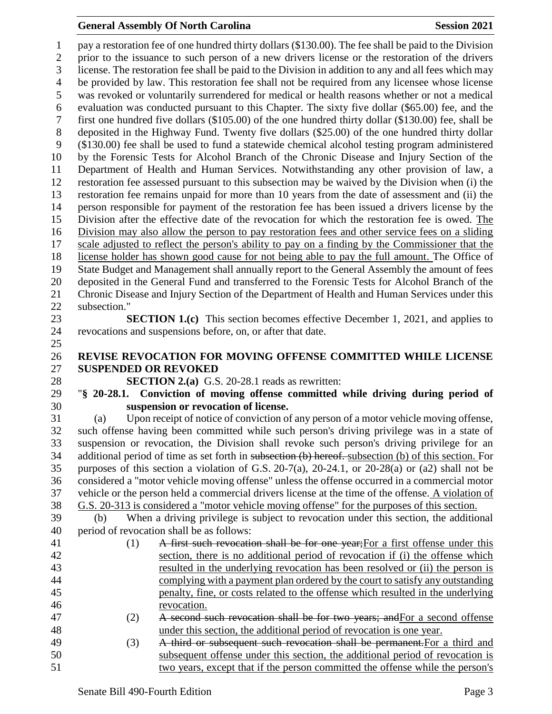## **General Assembly Of North Carolina Session 2021**

 pay a restoration fee of one hundred thirty dollars (\$130.00). The fee shall be paid to the Division prior to the issuance to such person of a new drivers license or the restoration of the drivers license. The restoration fee shall be paid to the Division in addition to any and all fees which may be provided by law. This restoration fee shall not be required from any licensee whose license was revoked or voluntarily surrendered for medical or health reasons whether or not a medical evaluation was conducted pursuant to this Chapter. The sixty five dollar (\$65.00) fee, and the first one hundred five dollars (\$105.00) of the one hundred thirty dollar (\$130.00) fee, shall be deposited in the Highway Fund. Twenty five dollars (\$25.00) of the one hundred thirty dollar (\$130.00) fee shall be used to fund a statewide chemical alcohol testing program administered by the Forensic Tests for Alcohol Branch of the Chronic Disease and Injury Section of the Department of Health and Human Services. Notwithstanding any other provision of law, a restoration fee assessed pursuant to this subsection may be waived by the Division when (i) the restoration fee remains unpaid for more than 10 years from the date of assessment and (ii) the person responsible for payment of the restoration fee has been issued a drivers license by the Division after the effective date of the revocation for which the restoration fee is owed. The Division may also allow the person to pay restoration fees and other service fees on a sliding scale adjusted to reflect the person's ability to pay on a finding by the Commissioner that the license holder has shown good cause for not being able to pay the full amount. The Office of State Budget and Management shall annually report to the General Assembly the amount of fees deposited in the General Fund and transferred to the Forensic Tests for Alcohol Branch of the Chronic Disease and Injury Section of the Department of Health and Human Services under this subsection." **SECTION 1.(c)** This section becomes effective December 1, 2021, and applies to revocations and suspensions before, on, or after that date. **REVISE REVOCATION FOR MOVING OFFENSE COMMITTED WHILE LICENSE SUSPENDED OR REVOKED SECTION 2.(a)** G.S. 20-28.1 reads as rewritten: "**§ 20-28.1. Conviction of moving offense committed while driving during period of suspension or revocation of license.** (a) Upon receipt of notice of conviction of any person of a motor vehicle moving offense, such offense having been committed while such person's driving privilege was in a state of suspension or revocation, the Division shall revoke such person's driving privilege for an additional period of time as set forth in subsection (b) hereof. subsection (b) of this section. For purposes of this section a violation of G.S. 20-7(a), 20-24.1, or 20-28(a) or (a2) shall not be considered a "motor vehicle moving offense" unless the offense occurred in a commercial motor vehicle or the person held a commercial drivers license at the time of the offense. A violation of G.S. 20-313 is considered a "motor vehicle moving offense" for the purposes of this section. (b) When a driving privilege is subject to revocation under this section, the additional period of revocation shall be as follows: 41 (1) A first such revocation shall be for one year; For a first offense under this section, there is no additional period of revocation if (i) the offense which resulted in the underlying revocation has been resolved or (ii) the person is complying with a payment plan ordered by the court to satisfy any outstanding penalty, fine, or costs related to the offense which resulted in the underlying revocation. (2) A second such revocation shall be for two years; andFor a second offense under this section, the additional period of revocation is one year. (3) A third or subsequent such revocation shall be permanent.For a third and subsequent offense under this section, the additional period of revocation is two years, except that if the person committed the offense while the person's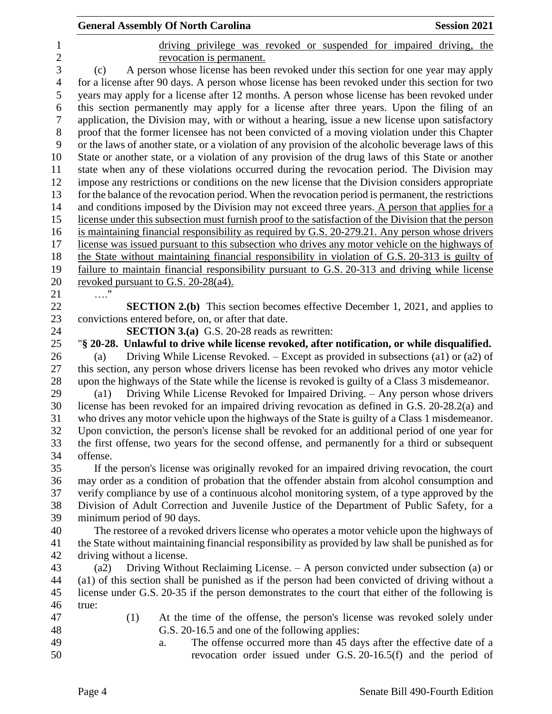|                  | <b>General Assembly Of North Carolina</b><br><b>Session 2021</b>                                                                                                                        |  |  |
|------------------|-----------------------------------------------------------------------------------------------------------------------------------------------------------------------------------------|--|--|
| $\mathbf 1$      | driving privilege was revoked or suspended for impaired driving, the                                                                                                                    |  |  |
| $\overline{2}$   | revocation is permanent.                                                                                                                                                                |  |  |
| 3                | A person whose license has been revoked under this section for one year may apply<br>(c)                                                                                                |  |  |
| $\overline{4}$   | for a license after 90 days. A person whose license has been revoked under this section for two                                                                                         |  |  |
| 5                | years may apply for a license after 12 months. A person whose license has been revoked under                                                                                            |  |  |
| 6                | this section permanently may apply for a license after three years. Upon the filing of an                                                                                               |  |  |
| $\boldsymbol{7}$ | application, the Division may, with or without a hearing, issue a new license upon satisfactory                                                                                         |  |  |
| $8\,$            | proof that the former licensee has not been convicted of a moving violation under this Chapter                                                                                          |  |  |
| 9                | or the laws of another state, or a violation of any provision of the alcoholic beverage laws of this                                                                                    |  |  |
| 10               | State or another state, or a violation of any provision of the drug laws of this State or another                                                                                       |  |  |
| 11               | state when any of these violations occurred during the revocation period. The Division may                                                                                              |  |  |
| 12               | impose any restrictions or conditions on the new license that the Division considers appropriate                                                                                        |  |  |
| 13               | for the balance of the revocation period. When the revocation period is permanent, the restrictions                                                                                     |  |  |
| 14               | and conditions imposed by the Division may not exceed three years. A person that applies for a                                                                                          |  |  |
| 15               | license under this subsection must furnish proof to the satisfaction of the Division that the person                                                                                    |  |  |
| 16               | is maintaining financial responsibility as required by G.S. 20-279.21. Any person whose drivers                                                                                         |  |  |
| 17               | license was issued pursuant to this subsection who drives any motor vehicle on the highways of                                                                                          |  |  |
| 18               | the State without maintaining financial responsibility in violation of G.S. 20-313 is guilty of                                                                                         |  |  |
| 19               | failure to maintain financial responsibility pursuant to G.S. 20-313 and driving while license                                                                                          |  |  |
| 20               | revoked pursuant to G.S. 20-28(a4).                                                                                                                                                     |  |  |
| 21               | $\ldots$ "                                                                                                                                                                              |  |  |
| 22               | <b>SECTION 2.(b)</b> This section becomes effective December 1, 2021, and applies to                                                                                                    |  |  |
| 23               | convictions entered before, on, or after that date.                                                                                                                                     |  |  |
| 24               | <b>SECTION 3.(a)</b> G.S. 20-28 reads as rewritten:                                                                                                                                     |  |  |
| 25               | "§ 20-28. Unlawful to drive while license revoked, after notification, or while disqualified.                                                                                           |  |  |
| 26               | Driving While License Revoked. – Except as provided in subsections (a1) or (a2) of<br>(a)                                                                                               |  |  |
| 27               | this section, any person whose drivers license has been revoked who drives any motor vehicle                                                                                            |  |  |
| 28               | upon the highways of the State while the license is revoked is guilty of a Class 3 misdemeanor.                                                                                         |  |  |
| 29<br>30         | Driving While License Revoked for Impaired Driving. - Any person whose drivers<br>(a1)<br>license has been revoked for an impaired driving revocation as defined in G.S. 20-28.2(a) and |  |  |
| 31               | who drives any motor vehicle upon the highways of the State is guilty of a Class 1 misdemeanor.                                                                                         |  |  |
| 32               | Upon conviction, the person's license shall be revoked for an additional period of one year for                                                                                         |  |  |
| 33               | the first offense, two years for the second offense, and permanently for a third or subsequent                                                                                          |  |  |
| 34               | offense.                                                                                                                                                                                |  |  |
| 35               | If the person's license was originally revoked for an impaired driving revocation, the court                                                                                            |  |  |
| 36               | may order as a condition of probation that the offender abstain from alcohol consumption and                                                                                            |  |  |
| 37               | verify compliance by use of a continuous alcohol monitoring system, of a type approved by the                                                                                           |  |  |
| 38               | Division of Adult Correction and Juvenile Justice of the Department of Public Safety, for a                                                                                             |  |  |
| 39               | minimum period of 90 days.                                                                                                                                                              |  |  |
| 40               | The restoree of a revoked drivers license who operates a motor vehicle upon the highways of                                                                                             |  |  |
| 41               | the State without maintaining financial responsibility as provided by law shall be punished as for                                                                                      |  |  |
| 42               | driving without a license.                                                                                                                                                              |  |  |
| 43               | Driving Without Reclaiming License. – A person convicted under subsection (a) or<br>(a2)                                                                                                |  |  |
| 44               | (a1) of this section shall be punished as if the person had been convicted of driving without a                                                                                         |  |  |
| 45               | license under G.S. 20-35 if the person demonstrates to the court that either of the following is                                                                                        |  |  |
| 46               | true:                                                                                                                                                                                   |  |  |
| 47               | (1)<br>At the time of the offense, the person's license was revoked solely under                                                                                                        |  |  |
| 48               | G.S. 20-16.5 and one of the following applies:                                                                                                                                          |  |  |
| 49<br>50         | The offense occurred more than 45 days after the effective date of a<br>a.                                                                                                              |  |  |
|                  | revocation order issued under G.S. 20-16.5(f) and the period of                                                                                                                         |  |  |